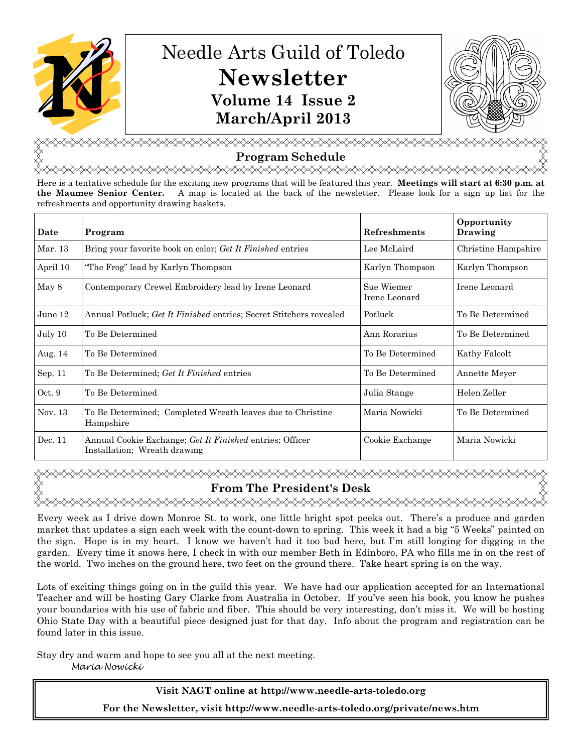

# Needle Arts Guild of Toledo **Newsletter Volume 14 Issue 2 March/April 2013**



<u></u> **Program Schedule** 

<del></del>

Here is a tentative schedule for the exciting new programs that will be featured this year. **Meetings will start at 6:30 p.m. at the Maumee Senior Center.** A map is located at the back of the newsletter. Please look for a sign up list for the refreshments and opportunity drawing baskets.

| Date     | Program                                                                                  | <b>Refreshments</b>         | Opportunity<br>Drawing |
|----------|------------------------------------------------------------------------------------------|-----------------------------|------------------------|
| Mar. 13  | Bring your favorite book on color; Get It Finished entries                               | Lee McLaird                 | Christine Hampshire    |
| April 10 | "The Frog" lead by Karlyn Thompson                                                       | Karlyn Thompson             | Karlyn Thompson        |
| May 8    | Contemporary Crewel Embroidery lead by Irene Leonard                                     | Sue Wiemer<br>Irene Leonard | Irene Leonard          |
| June 12  | Annual Potluck; Get It Finished entries; Secret Stitchers revealed                       | Potluck                     | To Be Determined       |
| July 10  | To Be Determined                                                                         | Ann Rorarius                | To Be Determined       |
| Aug. 14  | To Be Determined                                                                         | To Be Determined            | Kathy Falcolt          |
| Sep. 11  | To Be Determined; Get It Finished entries                                                | To Be Determined            | Annette Meyer          |
| Oct. 9   | To Be Determined                                                                         | Julia Stange                | Helen Zeller           |
| Nov. 13  | To Be Determined; Completed Wreath leaves due to Christine<br>Hampshire                  | Maria Nowicki               | To Be Determined       |
| Dec. 11  | Annual Cookie Exchange; Get It Finished entries; Officer<br>Installation: Wreath drawing | Cookie Exchange             | Maria Nowicki          |

## <del></del> **From The President's Desk**

Every week as I drive down Monroe St. to work, one little bright spot peeks out. There's a produce and garden market that updates a sign each week with the count-down to spring. This week it had a big "5 Weeks" painted on the sign. Hope is in my heart. I know we haven't had it too bad here, but I'm still longing for digging in the garden. Every time it snows here, I check in with our member Beth in Edinboro, PA who fills me in on the rest of the world. Two inches on the ground here, two feet on the ground there. Take heart spring is on the way.

Lots of exciting things going on in the guild this year. We have had our application accepted for an International Teacher and will be hosting Gary Clarke from Australia in October. If you've seen his book, you know he pushes your boundaries with his use of fabric and fiber. This should be very interesting, don't miss it. We will be hosting Ohio State Day with a beautiful piece designed just for that day. Info about the program and registration can be found later in this issue.

Stay dry and warm and hope to see you all at the next meeting. Maria Nowicki

> **Visit NAGT online at http://www.needle-arts-toledo.org For the Newsletter, visit http://www.needle-arts-toledo.org/private/news.htm**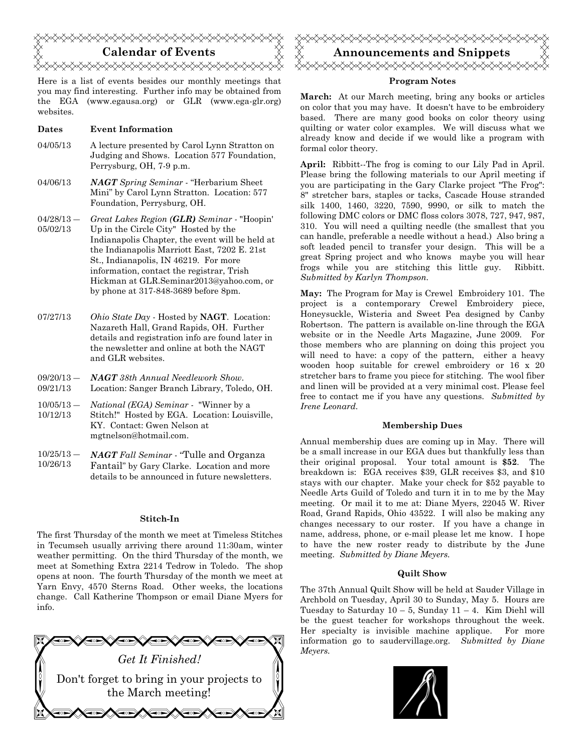

Here is a list of events besides our monthly meetings that you may find interesting. Further info may be obtained from the EGA (www.egausa.org) or GLR (www.ega-glr.org) websites.

#### **Dates Event Information**

- 04/05/13 A lecture presented by Carol Lynn Stratton on Judging and Shows. Location 577 Foundation, Perrysburg, OH, 7-9 p.m.
- 04/06/13 *NAGT Spring Seminar*  "Herbarium Sheet Mini" by Carol Lynn Stratton. Location: 577 Foundation, Perrysburg, OH.
- $04/28/13$  05/02/13 *Great Lakes Region (GLR) Seminar -* "Hoopin' Up in the Circle City" Hosted by the Indianapolis Chapter, the event will be held at the Indianapolis Marriott East, 7202 E. 21st St., Indianapolis, IN 46219. For more information, contact the registrar, Trish Hickman at GLR.Seminar2013@yahoo.com, or by phone at 317-848-3689 before 8pm.
- 07/27/13 *Ohio State Day* Hosted by **NAGT**. Location: Nazareth Hall, Grand Rapids, OH. Further details and registration info are found later in the newsletter and online at both the NAGT and GLR websites.
- $09/20/13 -$ 09/21/13 *NAGT 38th Annual Needlework Show*. Location: Sanger Branch Library, Toledo, OH.
- $10/05/13 -$ 10/12/13 *National (EGA) Seminar -* "Winner by a Stitch!" Hosted by EGA. Location: Louisville, KY. Contact: Gwen Nelson at mgtnelson@hotmail.com.
- $10/25/13 -$ 10/26/13 *NAGT Fall Seminar* - "Tulle and Organza Fantail" by Gary Clarke. Location and more details to be announced in future newsletters.

#### **Stitch-In**

The first Thursday of the month we meet at Timeless Stitches in Tecumseh usually arriving there around 11:30am, winter weather permitting. On the third Thursday of the month, we meet at Something Extra 2214 Tedrow in Toledo. The shop opens at noon. The fourth Thursday of the month we meet at Yarn Envy, 4570 Sterns Road. Other weeks, the locations change. Call Katherine Thompson or email Diane Myers for info.





### **Program Notes**

**March:** At our March meeting, bring any books or articles on color that you may have. It doesn't have to be embroidery based. There are many good books on color theory using quilting or water color examples. We will discuss what we already know and decide if we would like a program with formal color theory.

**April:** Ribbitt--The frog is coming to our Lily Pad in April. Please bring the following materials to our April meeting if you are participating in the Gary Clarke project "The Frog": 8" stretcher bars, staples or tacks, Cascade House stranded silk 1400, 1460, 3220, 7590, 9990, or silk to match the following DMC colors or DMC floss colors 3078, 727, 947, 987, 310. You will need a quilting needle (the smallest that you can handle, preferable a needle without a head.) Also bring a soft leaded pencil to transfer your design. This will be a great Spring project and who knows maybe you will hear frogs while you are stitching this little guy. Ribbitt. *Submitted by Karlyn Thompson.* 

**May:** The Program for May is Crewel Embroidery 101. The project is a contemporary Crewel Embroidery piece, Honeysuckle, Wisteria and Sweet Pea designed by Canby Robertson. The pattern is available on-line through the EGA website or in the Needle Arts Magazine, June 2009. For those members who are planning on doing this project you will need to have: a copy of the pattern, either a heavy wooden hoop suitable for crewel embroidery or 16 x 20 stretcher bars to frame you piece for stitching. The wool fiber and linen will be provided at a very minimal cost. Please feel free to contact me if you have any questions. *Submitted by Irene Leonard.* 

### **Membership Dues**

Annual membership dues are coming up in May. There will be a small increase in our EGA dues but thankfully less than their original proposal. Your total amount is **\$52**. The breakdown is: EGA receives \$39, GLR receives \$3, and \$10 stays with our chapter. Make your check for \$52 payable to Needle Arts Guild of Toledo and turn it in to me by the May meeting. Or mail it to me at: Diane Myers, 22045 W. River Road, Grand Rapids, Ohio 43522. I will also be making any changes necessary to our roster. If you have a change in name, address, phone, or e-mail please let me know. I hope to have the new roster ready to distribute by the June meeting. *Submitted by Diane Meyers.* 

### **Quilt Show**

The 37th Annual Quilt Show will be held at Sauder Village in Archbold on Tuesday, April 30 to Sunday, May 5. Hours are Tuesday to Saturday  $10 - 5$ , Sunday  $11 - 4$ . Kim Diehl will be the guest teacher for workshops throughout the week. Her specialty is invisible machine applique. For more information go to saudervillage.org. *Submitted by Diane Meyers.*

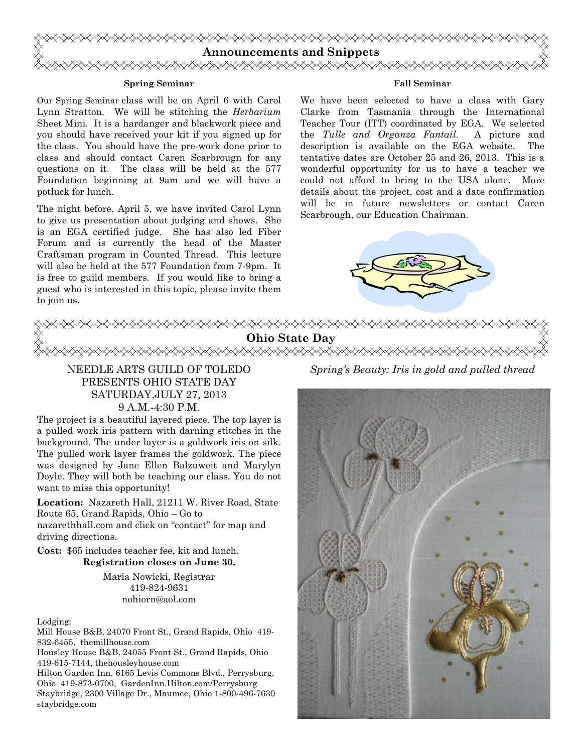

#### **Spring Seminar**

Our Spring Seminar class will be on April 6 with Carol Lynn Stratton. We will be stitching the *Herbarium*  Sheet Mini. It is a hardanger and blackwork piece and you should have received your kit if you signed up for the class. You should have the pre-work done prior to class and should contact Caren Scarbrougn for any questions on it. The class will be held at the 577 Foundation beginning at 9am and we will have a potluck for lunch.

The night before, April 5, we have invited Carol Lynn to give us presentation about judging and shows. She is an EGA certified judge. She has also led Fiber Forum and is currently the head of the Master Craftsman program in Counted Thread. This lecture will also be held at the 577 Foundation from 7-9pm. It is free to guild members. If you would like to bring a guest who is interested in this topic, please invite them to join us.

## **Fall Seminar**

We have been selected to have a class with Gary Clarke from Tasmania through the International Teacher Tour (ITT) coordinated by EGA. We selected the *Tulle and Organza Fantail*. A picture and description is available on the EGA website. The tentative dates are October 25 and 26, 2013. This is a wonderful opportunity for us to have a teacher we could not afford to bring to the USA alone. More details about the project, cost and a date confirmation will be in future newsletters or contact Caren Scarbrough, our Education Chairman.





Maria Nowicki, Registrar 419-824-9631 nohiorn@aol.com

Lodging:

Mill House B&B, 24070 Front St., Grand Rapids, Ohio 419- 832-6455, themillhouse.com

Housley House B&B, 24055 Front St., Grand Rapids, Ohio 419-615-7144, thehousleyhouse.com

Hilton Garden Inn, 6165 Levis Commons Blvd., Perrysburg, Ohio 419-873-0700, GardenInn.Hilton.com/Perrysburg Staybridge, 2300 Village Dr., Maumee, Ohio 1-800-496-7630 staybridge.com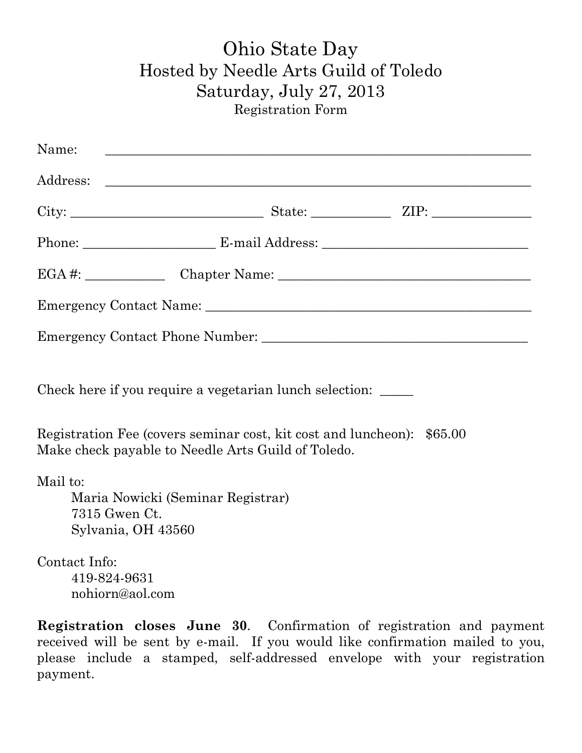## Ohio State Day Hosted by Needle Arts Guild of Toledo Saturday, July 27, 2013 Registration Form

| Name:                                                   |                                   |                                                                        |
|---------------------------------------------------------|-----------------------------------|------------------------------------------------------------------------|
|                                                         |                                   |                                                                        |
|                                                         |                                   |                                                                        |
|                                                         |                                   |                                                                        |
|                                                         |                                   |                                                                        |
|                                                         |                                   |                                                                        |
|                                                         |                                   |                                                                        |
| Check here if you require a vegetarian lunch selection: |                                   |                                                                        |
| Make check payable to Needle Arts Guild of Toledo.      |                                   | Registration Fee (covers seminar cost, kit cost and luncheon): \$65.00 |
| Mail to:<br>7315 Gwen Ct.<br>Sylvania, OH 43560         | Maria Nowicki (Seminar Registrar) |                                                                        |
| Contact Info:                                           |                                   |                                                                        |
| 419-824-9631<br>nohiorn@aol.com                         |                                   |                                                                        |

**Registration closes June 30**. Confirmation of registration and payment received will be sent by e-mail. If you would like confirmation mailed to you, please include a stamped, self-addressed envelope with your registration payment.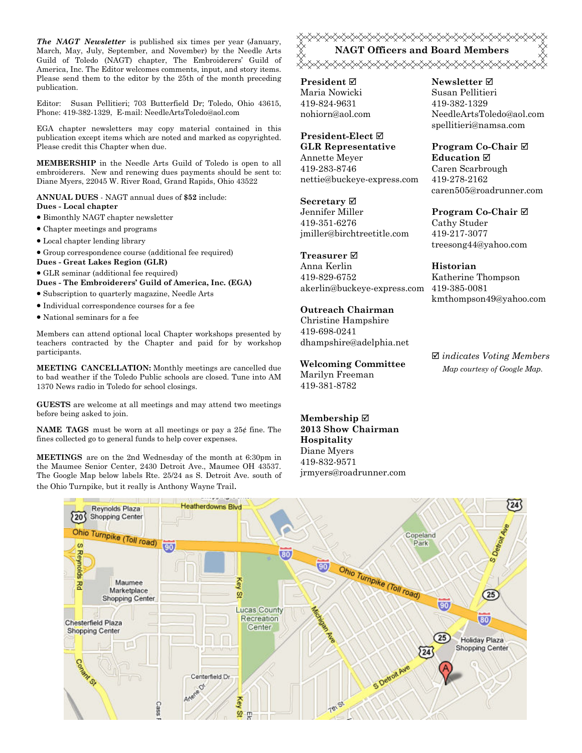*The NAGT Newsletter* is published six times per year (January, March, May, July, September, and November) by the Needle Arts Guild of Toledo (NAGT) chapter, The Embroiderers' Guild of America, Inc. The Editor welcomes comments, input, and story items. Please send them to the editor by the 25th of the month preceding publication.

Editor: Susan Pellitieri; 703 Butterfield Dr; Toledo, Ohio 43615, Phone: 419-382-1329, E-mail: NeedleArtsToledo@aol.com

EGA chapter newsletters may copy material contained in this publication except items which are noted and marked as copyrighted. Please credit this Chapter when due.

**MEMBERSHIP** in the Needle Arts Guild of Toledo is open to all embroiderers. New and renewing dues payments should be sent to: Diane Myers, 22045 W. River Road, Grand Rapids, Ohio 43522

**ANNUAL DUES** - NAGT annual dues of **\$52** include: **Dues - Local chapter** 

- Bimonthly NAGT chapter newsletter
- Chapter meetings and programs
- Local chapter lending library
- Group correspondence course (additional fee required)
- **Dues Great Lakes Region (GLR)**
- GLR seminar (additional fee required)

**Dues - The Embroiderers' Guild of America, Inc. (EGA)** 

- Subscription to quarterly magazine, Needle Arts
- Individual correspondence courses for a fee
- National seminars for a fee

Members can attend optional local Chapter workshops presented by teachers contracted by the Chapter and paid for by workshop participants.

**MEETING CANCELLATION:** Monthly meetings are cancelled due to bad weather if the Toledo Public schools are closed. Tune into AM 1370 News radio in Toledo for school closings.

**GUESTS** are welcome at all meetings and may attend two meetings before being asked to join.

**NAME TAGS** must be worn at all meetings or pay a 25¢ fine. The fines collected go to general funds to help cover expenses.

**MEETINGS** are on the 2nd Wednesday of the month at 6:30pm in the Maumee Senior Center, 2430 Detroit Ave., Maumee OH 43537. The Google Map below labels Rte. 25/24 as S. Detroit Ave. south of the Ohio Turnpike, but it really is Anthony Wayne Trail.

## <del></del> **NAGT Officers and Board Members**

**President** Maria Nowicki 419-824-9631 nohiorn@aol.com

### **President-Elect GLR Representative**

Annette Meyer 419-283-8746 nettie@buckeye-express.com

**Secretary**

Jennifer Miller 419-351-6276 jmiller@birchtreetitle.com

## **Treasurer**

Anna Kerlin 419-829-6752 akerlin@buckeye-express.com 419-385-0081

## **Outreach Chairman**

Christine Hampshire 419-698-0241 dhampshire@adelphia.net

**Welcoming Committee**  Marilyn Freeman 419-381-8782

**Membership 2013 Show Chairman Hospitality**  Diane Myers 419-832-9571 jrmyers@roadrunner.com

## **Newsletter**  Susan Pellitieri 419-382-1329 NeedleArtsToledo@aol.com spellitieri@namsa.com

**Program Co-Chair Education**  Caren Scarbrough 419-278-2162 caren505@roadrunner.com

## **Program Co-Chair**

Cathy Studer 419-217-3077 treesong44@yahoo.com

## **Historian**

Katherine Thompson kmthompson49@yahoo.com

 *indicates Voting Members Map courtesy of Google Map.*